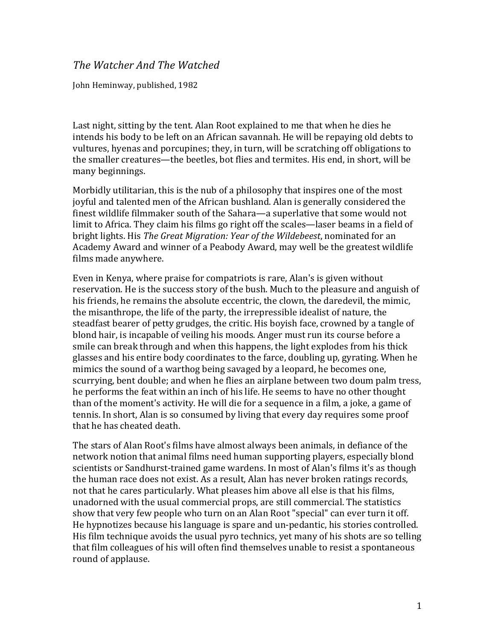## *The Watcher And The Watched*

John Heminway, published, 1982

Last night, sitting by the tent. Alan Root explained to me that when he dies he intends his body to be left on an African savannah. He will be repaying old debts to vultures, hyenas and porcupines; they, in turn, will be scratching off obligations to the smaller creatures—the beetles, bot flies and termites. His end, in short, will be many beginnings.

Morbidly utilitarian, this is the nub of a philosophy that inspires one of the most joyful and talented men of the African bushland. Alan is generally considered the finest wildlife filmmaker south of the Sahara—a superlative that some would not limit to Africa. They claim his films go right off the scales—laser beams in a field of bright lights. His *The Great Migration: Year of the Wildebeest*, nominated for an Academy Award and winner of a Peabody Award, may well be the greatest wildlife films made anywhere.

Even in Kenya, where praise for compatriots is rare, Alan's is given without reservation. He is the success story of the bush. Much to the pleasure and anguish of his friends, he remains the absolute eccentric, the clown, the daredevil, the mimic, the misanthrope, the life of the party, the irrepressible idealist of nature, the steadfast bearer of petty grudges, the critic. His boyish face, crowned by a tangle of blond hair, is incapable of veiling his moods. Anger must run its course before a smile can break through and when this happens, the light explodes from his thick glasses and his entire body coordinates to the farce, doubling up, gyrating. When he mimics the sound of a warthog being savaged by a leopard, he becomes one, scurrying, bent double; and when he flies an airplane between two doum palm tress, he performs the feat within an inch of his life. He seems to have no other thought than of the moment's activity. He will die for a sequence in a film, a joke, a game of tennis. In short, Alan is so consumed by living that every day requires some proof that he has cheated death.

The stars of Alan Root's films have almost always been animals, in defiance of the network notion that animal films need human supporting players, especially blond scientists or Sandhurst-trained game wardens. In most of Alan's films it's as though the human race does not exist. As a result, Alan has never broken ratings records, not that he cares particularly. What pleases him above all else is that his films, unadorned with the usual commercial props, are still commercial. The statistics show that very few people who turn on an Alan Root "special" can ever turn it off. He hypnotizes because his language is spare and un-pedantic, his stories controlled. His film technique avoids the usual pyro technics, yet many of his shots are so telling that film colleagues of his will often find themselves unable to resist a spontaneous round of applause.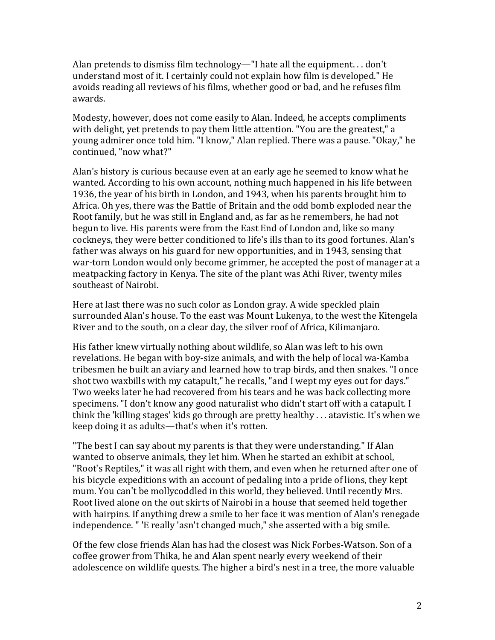Alan pretends to dismiss film technology—"I hate all the equipment.  $\dots$  don't understand most of it. I certainly could not explain how film is developed." He avoids reading all reviews of his films, whether good or bad, and he refuses film awards.

Modesty, however, does not come easily to Alan. Indeed, he accepts compliments with delight, yet pretends to pay them little attention. "You are the greatest," a young admirer once told him. "I know," Alan replied. There was a pause. "Okay," he continued, "now what?"

Alan's history is curious because even at an early age he seemed to know what he wanted. According to his own account, nothing much happened in his life between 1936, the year of his birth in London, and 1943, when his parents brought him to Africa. Oh yes, there was the Battle of Britain and the odd bomb exploded near the Root family, but he was still in England and, as far as he remembers, he had not begun to live. His parents were from the East End of London and, like so many cockneys, they were better conditioned to life's ills than to its good fortunes. Alan's father was always on his guard for new opportunities, and in 1943, sensing that war-torn London would only become grimmer, he accepted the post of manager at a meatpacking factory in Kenya. The site of the plant was Athi River, twenty miles southeast of Nairobi.

Here at last there was no such color as London gray. A wide speckled plain surrounded Alan's house. To the east was Mount Lukenya, to the west the Kitengela River and to the south, on a clear day, the silver roof of Africa, Kilimanjaro.

His father knew virtually nothing about wildlife, so Alan was left to his own revelations. He began with boy-size animals, and with the help of local wa-Kamba tribesmen he built an aviary and learned how to trap birds, and then snakes. "I once shot two waxbills with my catapult," he recalls, "and I wept my eyes out for days." Two weeks later he had recovered from his tears and he was back collecting more specimens. "I don't know any good naturalist who didn't start off with a catapult. I think the 'killing stages' kids go through are pretty healthy  $\dots$  atavistic. It's when we keep doing it as adults—that's when it's rotten.

"The best I can say about my parents is that they were understanding." If Alan wanted to observe animals, they let him. When he started an exhibit at school, "Root's Reptiles," it was all right with them, and even when he returned after one of his bicycle expeditions with an account of pedaling into a pride of lions, they kept mum. You can't be mollycoddled in this world, they believed. Until recently Mrs. Root lived alone on the out skirts of Nairobi in a house that seemed held together with hairpins. If anything drew a smile to her face it was mention of Alan's renegade independence. " 'E really 'asn't changed much," she asserted with a big smile.

Of the few close friends Alan has had the closest was Nick Forbes-Watson. Son of a coffee grower from Thika, he and Alan spent nearly every weekend of their adolescence on wildlife quests. The higher a bird's nest in a tree, the more valuable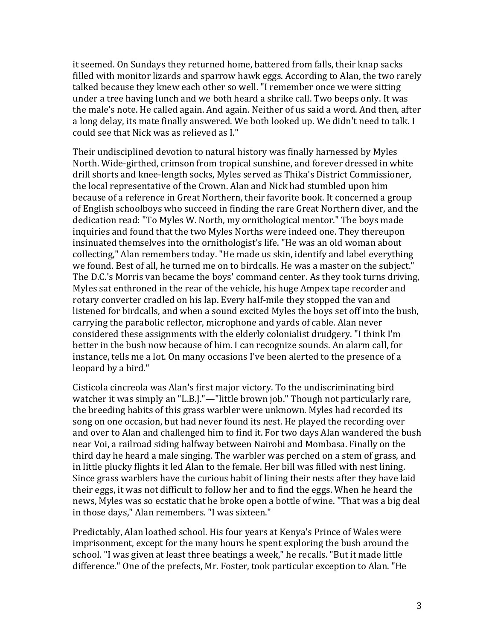it seemed. On Sundays they returned home, battered from falls, their knap sacks filled with monitor lizards and sparrow hawk eggs. According to Alan, the two rarely talked because they knew each other so well. "I remember once we were sitting under a tree having lunch and we both heard a shrike call. Two beeps only. It was the male's note. He called again. And again. Neither of us said a word. And then, after a long delay, its mate finally answered. We both looked up. We didn't need to talk. I could see that Nick was as relieved as I."

Their undisciplined devotion to natural history was finally harnessed by Myles North. Wide-girthed, crimson from tropical sunshine, and forever dressed in white drill shorts and knee-length socks, Myles served as Thika's District Commissioner, the local representative of the Crown. Alan and Nick had stumbled upon him because of a reference in Great Northern, their favorite book. It concerned a group of English schoolboys who succeed in finding the rare Great Northern diver, and the dedication read: "To Myles W. North, my ornithological mentor." The boys made inquiries and found that the two Myles Norths were indeed one. They thereupon insinuated themselves into the ornithologist's life. "He was an old woman about collecting," Alan remembers today. "He made us skin, identify and label everything we found. Best of all, he turned me on to birdcalls. He was a master on the subject." The D.C.'s Morris van became the boys' command center. As they took turns driving, Myles sat enthroned in the rear of the vehicle, his huge Ampex tape recorder and rotary converter cradled on his lap. Every half-mile they stopped the van and listened for birdcalls, and when a sound excited Myles the boys set off into the bush, carrying the parabolic reflector, microphone and yards of cable. Alan never considered these assignments with the elderly colonialist drudgery. "I think I'm better in the bush now because of him. I can recognize sounds. An alarm call, for instance, tells me a lot. On many occasions I've been alerted to the presence of a leopard by a bird."

Cisticola cincreola was Alan's first major victory. To the undiscriminating bird watcher it was simply an "L.B.J."—"little brown job." Though not particularly rare, the breeding habits of this grass warbler were unknown. Myles had recorded its song on one occasion, but had never found its nest. He played the recording over and over to Alan and challenged him to find it. For two days Alan wandered the bush near Voi, a railroad siding halfway between Nairobi and Mombasa. Finally on the third day he heard a male singing. The warbler was perched on a stem of grass, and in little plucky flights it led Alan to the female. Her bill was filled with nest lining. Since grass warblers have the curious habit of lining their nests after they have laid their eggs, it was not difficult to follow her and to find the eggs. When he heard the news, Myles was so ecstatic that he broke open a bottle of wine. "That was a big deal in those days," Alan remembers. "I was sixteen."

Predictably, Alan loathed school. His four years at Kenya's Prince of Wales were imprisonment, except for the many hours he spent exploring the bush around the school. "I was given at least three beatings a week," he recalls. "But it made little difference." One of the prefects, Mr. Foster, took particular exception to Alan. "He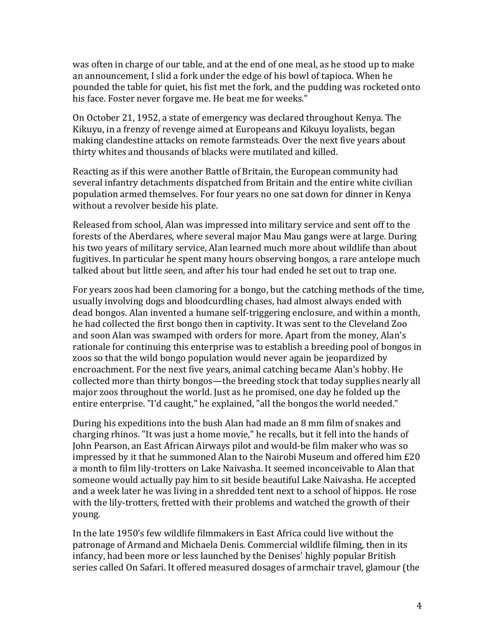was often in charge of our table, and at the end of one meal, as he stood up to make an announcement, I slid a fork under the edge of his bowl of tapioca. When he pounded the table for quiet, his fist met the fork, and the pudding was rocketed onto his face. Foster never forgave me. He beat me for weeks."

On October 21, 1952, a state of emergency was declared throughout Kenya. The Kikuyu, in a frenzy of revenge aimed at Europeans and Kikuyu loyalists, began making clandestine attacks on remote farmsteads. Over the next five years about thirty whites and thousands of blacks were mutilated and killed.

Reacting as if this were another Battle of Britain, the European community had several infantry detachments dispatched from Britain and the entire white civilian population armed themselves. For four years no one sat down for dinner in Kenya without a revolver beside his plate.

Released from school, Alan was impressed into military service and sent off to the forests of the Aberdares, where several major Mau Mau gangs were at large. During his two years of military service, Alan learned much more about wildlife than about fugitives. In particular he spent many hours observing bongos, a rare antelope much talked about but little seen, and after his tour had ended he set out to trap one.

For years zoos had been clamoring for a bongo, but the catching methods of the time, usually involving dogs and bloodcurdling chases, had almost always ended with dead bongos. Alan invented a humane self-triggering enclosure, and within a month, he had collected the first bongo then in captivity. It was sent to the Cleveland Zoo and soon Alan was swamped with orders for more. Apart from the money, Alan's rationale for continuing this enterprise was to establish a breeding pool of bongos in zoos so that the wild bongo population would never again be jeopardized by encroachment. For the next five years, animal catching became Alan's hobby. He collected more than thirty bongos—the breeding stock that today supplies nearly all major zoos throughout the world. Just as he promised, one day he folded up the entire enterprise. "I'd caught," he explained, "all the bongos the world needed."

During his expeditions into the bush Alan had made an 8 mm film of snakes and charging rhinos. "It was just a home movie," he recalls, but it fell into the hands of John Pearson, an East African Airways pilot and would-be film maker who was so impressed by it that he summoned Alan to the Nairobi Museum and offered him  $£20$ a month to film lily-trotters on Lake Naivasha. It seemed inconceivable to Alan that someone would actually pay him to sit beside beautiful Lake Naivasha. He accepted and a week later he was living in a shredded tent next to a school of hippos. He rose with the lily-trotters, fretted with their problems and watched the growth of their young.

In the late 1950's few wildlife filmmakers in East Africa could live without the patronage of Armand and Michaela Denis. Commercial wildlife filming, then in its infancy, had been more or less launched by the Denises' highly popular British series called On Safari. It offered measured dosages of armchair travel, glamour (the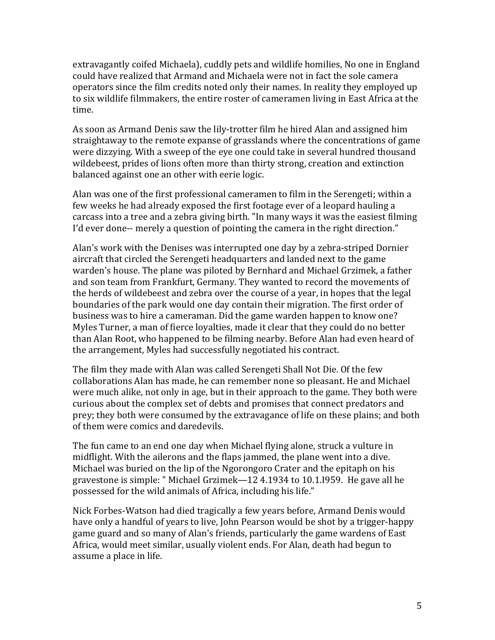extravagantly coifed Michaela), cuddly pets and wildlife homilies, No one in England could have realized that Armand and Michaela were not in fact the sole camera operators since the film credits noted only their names. In reality they employed up to six wildlife filmmakers, the entire roster of cameramen living in East Africa at the time.

As soon as Armand Denis saw the lily-trotter film he hired Alan and assigned him straightaway to the remote expanse of grasslands where the concentrations of game were dizzying. With a sweep of the eye one could take in several hundred thousand wildebeest, prides of lions often more than thirty strong, creation and extinction balanced against one an other with eerie logic.

Alan was one of the first professional cameramen to film in the Serengeti; within a few weeks he had already exposed the first footage ever of a leopard hauling a carcass into a tree and a zebra giving birth. "In many ways it was the easiest filming I'd ever done-- merely a question of pointing the camera in the right direction."

Alan's work with the Denises was interrupted one day by a zebra-striped Dornier aircraft that circled the Serengeti headquarters and landed next to the game warden's house. The plane was piloted by Bernhard and Michael Grzimek, a father and son team from Frankfurt, Germany. They wanted to record the movements of the herds of wildebeest and zebra over the course of a year, in hopes that the legal boundaries of the park would one day contain their migration. The first order of business was to hire a cameraman. Did the game warden happen to know one? Myles Turner, a man of fierce loyalties, made it clear that they could do no better than Alan Root, who happened to be filming nearby. Before Alan had even heard of the arrangement, Myles had successfully negotiated his contract.

The film they made with Alan was called Serengeti Shall Not Die. Of the few collaborations Alan has made, he can remember none so pleasant. He and Michael were much alike, not only in age, but in their approach to the game. They both were curious about the complex set of debts and promises that connect predators and prey; they both were consumed by the extravagance of life on these plains; and both of them were comics and daredevils.

The fun came to an end one day when Michael flying alone, struck a vulture in midflight. With the ailerons and the flaps jammed, the plane went into a dive. Michael was buried on the lip of the Ngorongoro Crater and the epitaph on his gravestone is simple: " Michael Grzimek—12 4.1934 to 10.1.1959. He gave all he possessed for the wild animals of Africa, including his life."

Nick Forbes-Watson had died tragically a few years before, Armand Denis would have only a handful of years to live, John Pearson would be shot by a trigger-happy game guard and so many of Alan's friends, particularly the game wardens of East Africa, would meet similar, usually violent ends. For Alan, death had begun to assume a place in life.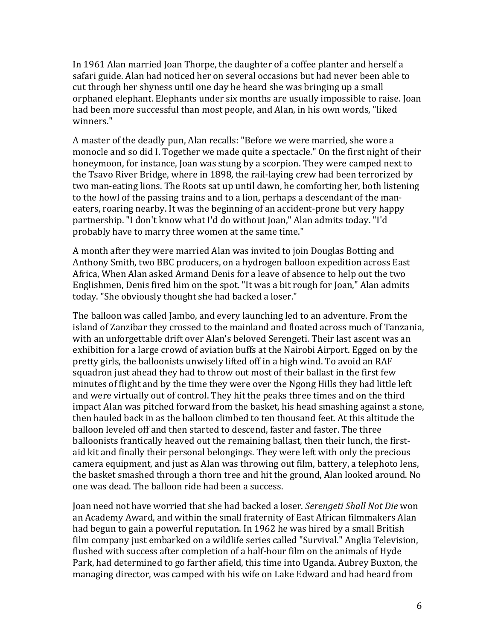In 1961 Alan married Joan Thorpe, the daughter of a coffee planter and herself a safari guide. Alan had noticed her on several occasions but had never been able to cut through her shyness until one day he heard she was bringing up a small orphaned elephant. Elephants under six months are usually impossible to raise. Joan had been more successful than most people, and Alan, in his own words, "liked winners."

A master of the deadly pun, Alan recalls: "Before we were married, she wore a monocle and so did I. Together we made quite a spectacle." On the first night of their honeymoon, for instance, Joan was stung by a scorpion. They were camped next to the Tsavo River Bridge, where in 1898, the rail-laying crew had been terrorized by two man-eating lions. The Roots sat up until dawn, he comforting her, both listening to the howl of the passing trains and to a lion, perhaps a descendant of the maneaters, roaring nearby. It was the beginning of an accident-prone but very happy partnership. "I don't know what I'd do without Joan," Alan admits today. "I'd probably have to marry three women at the same time."

A month after they were married Alan was invited to join Douglas Botting and Anthony Smith, two BBC producers, on a hydrogen balloon expedition across East Africa, When Alan asked Armand Denis for a leave of absence to help out the two Englishmen, Denis fired him on the spot. "It was a bit rough for Joan," Alan admits today. "She obviously thought she had backed a loser."

The balloon was called Jambo, and every launching led to an adventure. From the island of Zanzibar they crossed to the mainland and floated across much of Tanzania, with an unforgettable drift over Alan's beloved Serengeti. Their last ascent was an exhibition for a large crowd of aviation buffs at the Nairobi Airport. Egged on by the pretty girls, the balloonists unwisely lifted off in a high wind. To avoid an RAF squadron just ahead they had to throw out most of their ballast in the first few minutes of flight and by the time they were over the Ngong Hills they had little left and were virtually out of control. They hit the peaks three times and on the third impact Alan was pitched forward from the basket, his head smashing against a stone, then hauled back in as the balloon climbed to ten thousand feet. At this altitude the balloon leveled off and then started to descend, faster and faster. The three balloonists frantically heaved out the remaining ballast, then their lunch, the firstaid kit and finally their personal belongings. They were left with only the precious camera equipment, and just as Alan was throwing out film, battery, a telephoto lens, the basket smashed through a thorn tree and hit the ground, Alan looked around. No one was dead. The balloon ride had been a success.

Joan need not have worried that she had backed a loser. *Serengeti Shall Not Die* won an Academy Award, and within the small fraternity of East African filmmakers Alan had begun to gain a powerful reputation. In 1962 he was hired by a small British film company just embarked on a wildlife series called "Survival." Anglia Television, flushed with success after completion of a half-hour film on the animals of Hyde Park, had determined to go farther afield, this time into Uganda. Aubrey Buxton, the managing director, was camped with his wife on Lake Edward and had heard from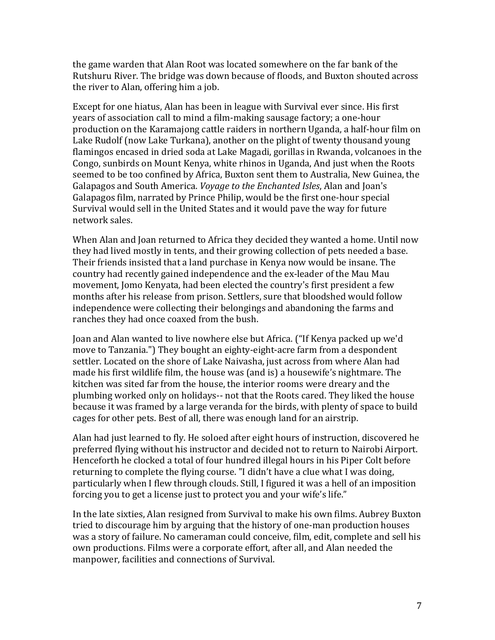the game warden that Alan Root was located somewhere on the far bank of the Rutshuru River. The bridge was down because of floods, and Buxton shouted across the river to Alan, offering him a iob.

Except for one hiatus, Alan has been in league with Survival ever since. His first years of association call to mind a film-making sausage factory; a one-hour production on the Karamajong cattle raiders in northern Uganda, a half-hour film on Lake Rudolf (now Lake Turkana), another on the plight of twenty thousand young flamingos encased in dried soda at Lake Magadi, gorillas in Rwanda, volcanoes in the Congo, sunbirds on Mount Kenya, white rhinos in Uganda, And just when the Roots seemed to be too confined by Africa, Buxton sent them to Australia, New Guinea, the Galapagos and South America. *Voyage to the Enchanted Isles*, Alan and Joan's Galapagos film, narrated by Prince Philip, would be the first one-hour special Survival would sell in the United States and it would pave the way for future network sales.

When Alan and Joan returned to Africa they decided they wanted a home. Until now they had lived mostly in tents, and their growing collection of pets needed a base. Their friends insisted that a land purchase in Kenya now would be insane. The country had recently gained independence and the ex-leader of the Mau Mau movement, Jomo Kenyata, had been elected the country's first president a few months after his release from prison. Settlers, sure that bloodshed would follow independence were collecting their belongings and abandoning the farms and ranches they had once coaxed from the bush.

Joan and Alan wanted to live nowhere else but Africa. ("If Kenya packed up we'd move to Tanzania.") They bought an eighty-eight-acre farm from a despondent settler. Located on the shore of Lake Naivasha, just across from where Alan had made his first wildlife film, the house was (and is) a housewife's nightmare. The kitchen was sited far from the house, the interior rooms were dreary and the plumbing worked only on holidays-- not that the Roots cared. They liked the house because it was framed by a large veranda for the birds, with plenty of space to build cages for other pets. Best of all, there was enough land for an airstrip.

Alan had just learned to fly. He soloed after eight hours of instruction, discovered he preferred flying without his instructor and decided not to return to Nairobi Airport. Henceforth he clocked a total of four hundred illegal hours in his Piper Colt before returning to complete the flying course. "I didn't have a clue what I was doing, particularly when I flew through clouds. Still, I figured it was a hell of an imposition forcing you to get a license just to protect you and your wife's life."

In the late sixties, Alan resigned from Survival to make his own films. Aubrey Buxton tried to discourage him by arguing that the history of one-man production houses was a story of failure. No cameraman could conceive, film, edit, complete and sell his own productions. Films were a corporate effort, after all, and Alan needed the manpower, facilities and connections of Survival.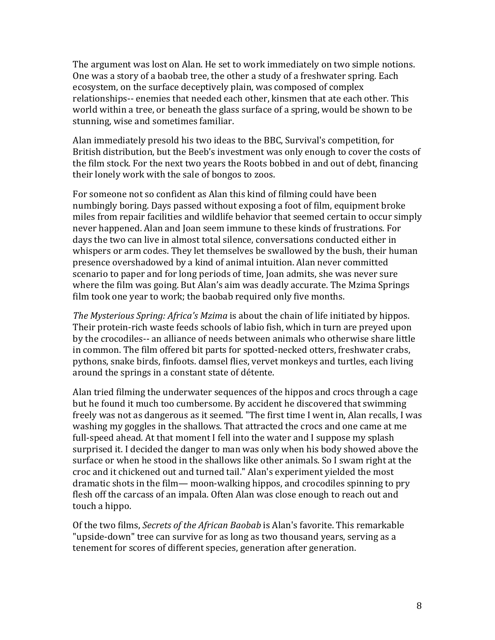The argument was lost on Alan. He set to work immediately on two simple notions. One was a story of a baobab tree, the other a study of a freshwater spring. Each ecosystem, on the surface deceptively plain, was composed of complex relationships-- enemies that needed each other, kinsmen that ate each other. This world within a tree, or beneath the glass surface of a spring, would be shown to be stunning, wise and sometimes familiar.

Alan immediately presold his two ideas to the BBC, Survival's competition, for British distribution, but the Beeb's investment was only enough to cover the costs of the film stock. For the next two years the Roots bobbed in and out of debt, financing their lonely work with the sale of bongos to zoos.

For someone not so confident as Alan this kind of filming could have been numbingly boring. Days passed without exposing a foot of film, equipment broke miles from repair facilities and wildlife behavior that seemed certain to occur simply never happened. Alan and Joan seem immune to these kinds of frustrations. For days the two can live in almost total silence, conversations conducted either in whispers or arm codes. They let themselves be swallowed by the bush, their human presence overshadowed by a kind of animal intuition. Alan never committed scenario to paper and for long periods of time, Joan admits, she was never sure where the film was going. But Alan's aim was deadly accurate. The Mzima Springs film took one year to work; the baobab required only five months.

*The Mysterious Spring: Africa's Mzima* is about the chain of life initiated by hippos. Their protein-rich waste feeds schools of labio fish, which in turn are preyed upon by the crocodiles-- an alliance of needs between animals who otherwise share little in common. The film offered bit parts for spotted-necked otters, freshwater crabs, pythons, snake birds, finfoots. damsel flies, vervet monkeys and turtles, each living around the springs in a constant state of détente.

Alan tried filming the underwater sequences of the hippos and crocs through a cage but he found it much too cumbersome. By accident he discovered that swimming freely was not as dangerous as it seemed. "The first time I went in, Alan recalls, I was washing my goggles in the shallows. That attracted the crocs and one came at me full-speed ahead. At that moment I fell into the water and I suppose my splash surprised it. I decided the danger to man was only when his body showed above the surface or when he stood in the shallows like other animals. So I swam right at the croc and it chickened out and turned tail." Alan's experiment vielded the most dramatic shots in the film— moon-walking hippos, and crocodiles spinning to pry flesh off the carcass of an impala. Often Alan was close enough to reach out and touch a hippo.

Of the two films, *Secrets of the African Baobab* is Alan's favorite. This remarkable "upside-down" tree can survive for as long as two thousand years, serving as a tenement for scores of different species, generation after generation.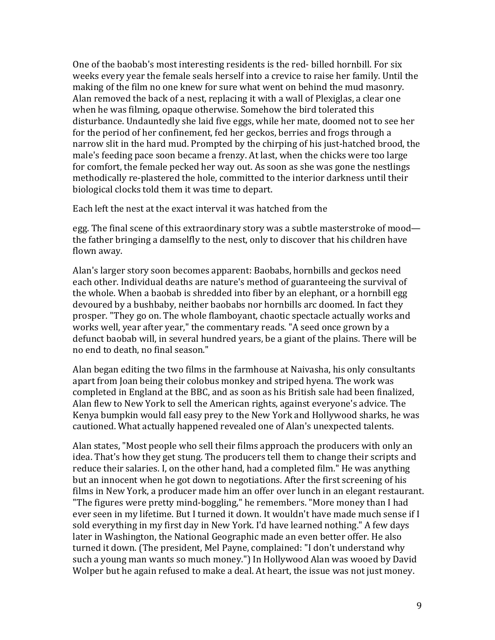One of the baobab's most interesting residents is the red- billed hornbill. For six weeks every year the female seals herself into a crevice to raise her family. Until the making of the film no one knew for sure what went on behind the mud masonry. Alan removed the back of a nest, replacing it with a wall of Plexiglas, a clear one when he was filming, opaque otherwise. Somehow the bird tolerated this disturbance. Undauntedly she laid five eggs, while her mate, doomed not to see her for the period of her confinement, fed her geckos, berries and frogs through a narrow slit in the hard mud. Prompted by the chirping of his just-hatched brood, the male's feeding pace soon became a frenzy. At last, when the chicks were too large for comfort, the female pecked her way out. As soon as she was gone the nestlings methodically re-plastered the hole, committed to the interior darkness until their biological clocks told them it was time to depart.

Each left the nest at the exact interval it was hatched from the

egg. The final scene of this extraordinary story was a subtle masterstroke of mood the father bringing a damselfly to the nest, only to discover that his children have flown away.

Alan's larger story soon becomes apparent: Baobabs, hornbills and geckos need each other. Individual deaths are nature's method of guaranteeing the survival of the whole. When a baobab is shredded into fiber by an elephant, or a hornbill egg devoured by a bushbaby, neither baobabs nor hornbills arc doomed. In fact they prosper. "They go on. The whole flamboyant, chaotic spectacle actually works and works well, year after year," the commentary reads. "A seed once grown by a defunct baobab will, in several hundred years, be a giant of the plains. There will be no end to death, no final season."

Alan began editing the two films in the farmhouse at Naivasha, his only consultants apart from Joan being their colobus monkey and striped hyena. The work was completed in England at the BBC, and as soon as his British sale had been finalized, Alan flew to New York to sell the American rights, against everyone's advice. The Kenya bumpkin would fall easy prey to the New York and Hollywood sharks, he was cautioned. What actually happened revealed one of Alan's unexpected talents.

Alan states, "Most people who sell their films approach the producers with only an idea. That's how they get stung. The producers tell them to change their scripts and reduce their salaries. I, on the other hand, had a completed film." He was anything but an innocent when he got down to negotiations. After the first screening of his films in New York, a producer made him an offer over lunch in an elegant restaurant. "The figures were pretty mind-boggling," he remembers. "More money than I had ever seen in my lifetime. But I turned it down. It wouldn't have made much sense if I sold everything in my first day in New York. I'd have learned nothing." A few days later in Washington, the National Geographic made an even better offer. He also turned it down. (The president, Mel Payne, complained: "I don't understand why such a young man wants so much money.") In Hollywood Alan was wooed by David Wolper but he again refused to make a deal. At heart, the issue was not just money.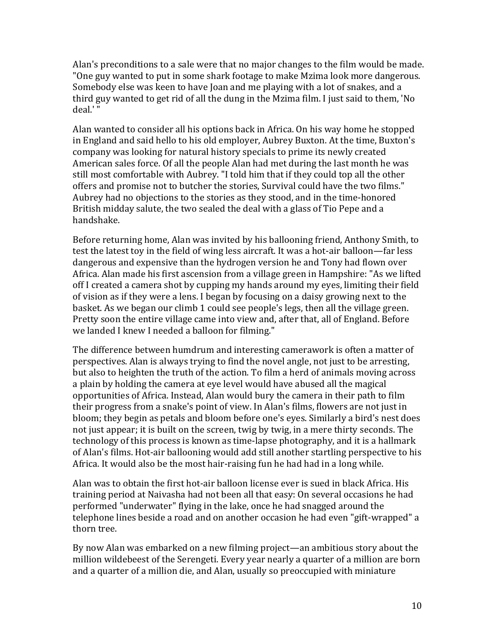Alan's preconditions to a sale were that no major changes to the film would be made. "One guy wanted to put in some shark footage to make Mzima look more dangerous. Somebody else was keen to have Joan and me playing with a lot of snakes, and a third guy wanted to get rid of all the dung in the Mzima film. I just said to them, 'No deal.'"

Alan wanted to consider all his options back in Africa. On his way home he stopped in England and said hello to his old employer, Aubrey Buxton. At the time, Buxton's company was looking for natural history specials to prime its newly created American sales force. Of all the people Alan had met during the last month he was still most comfortable with Aubrey. "I told him that if they could top all the other offers and promise not to butcher the stories, Survival could have the two films." Aubrey had no objections to the stories as they stood, and in the time-honored British midday salute, the two sealed the deal with a glass of Tio Pepe and a handshake.

Before returning home, Alan was invited by his ballooning friend, Anthony Smith, to test the latest toy in the field of wing less aircraft. It was a hot-air balloon—far less dangerous and expensive than the hydrogen version he and Tony had flown over Africa. Alan made his first ascension from a village green in Hampshire: "As we lifted off I created a camera shot by cupping my hands around my eyes, limiting their field of vision as if they were a lens. I began by focusing on a daisy growing next to the basket. As we began our climb 1 could see people's legs, then all the village green. Pretty soon the entire village came into view and, after that, all of England. Before we landed I knew I needed a balloon for filming."

The difference between humdrum and interesting camerawork is often a matter of perspectives. Alan is always trying to find the novel angle, not just to be arresting, but also to heighten the truth of the action. To film a herd of animals moving across a plain by holding the camera at eye level would have abused all the magical opportunities of Africa. Instead, Alan would bury the camera in their path to film their progress from a snake's point of view. In Alan's films, flowers are not just in bloom; they begin as petals and bloom before one's eves. Similarly a bird's nest does not just appear; it is built on the screen, twig by twig, in a mere thirty seconds. The technology of this process is known as time-lapse photography, and it is a hallmark of Alan's films. Hot-air ballooning would add still another startling perspective to his Africa. It would also be the most hair-raising fun he had had in a long while.

Alan was to obtain the first hot-air balloon license ever is sued in black Africa. His training period at Naivasha had not been all that easy: On several occasions he had performed "underwater" flying in the lake, once he had snagged around the telephone lines beside a road and on another occasion he had even "gift-wrapped" a thorn tree.

By now Alan was embarked on a new filming project—an ambitious story about the million wildebeest of the Serengeti. Every year nearly a quarter of a million are born and a quarter of a million die, and Alan, usually so preoccupied with miniature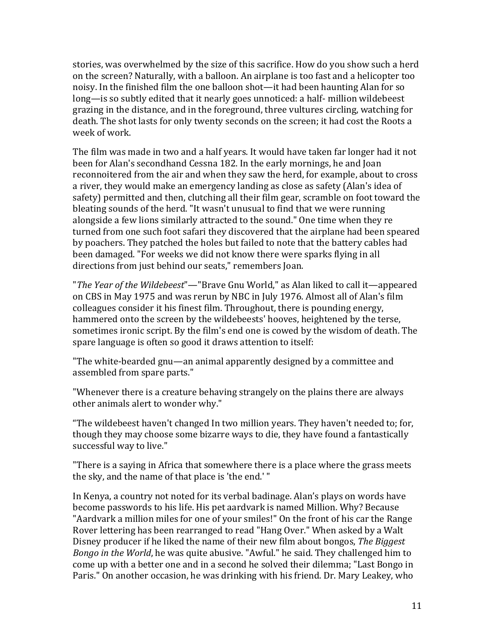stories, was overwhelmed by the size of this sacrifice. How do you show such a herd on the screen? Naturally, with a balloon. An airplane is too fast and a helicopter too noisy. In the finished film the one balloon shot—it had been haunting Alan for so long—is so subtly edited that it nearly goes unnoticed: a half- million wildebeest grazing in the distance, and in the foreground, three vultures circling, watching for death. The shot lasts for only twenty seconds on the screen; it had cost the Roots a week of work.

The film was made in two and a half years. It would have taken far longer had it not been for Alan's secondhand Cessna 182. In the early mornings, he and Joan reconnoitered from the air and when they saw the herd, for example, about to cross a river, they would make an emergency landing as close as safety (Alan's idea of safety) permitted and then, clutching all their film gear, scramble on foot toward the bleating sounds of the herd. "It wasn't unusual to find that we were running alongside a few lions similarly attracted to the sound." One time when they re turned from one such foot safari they discovered that the airplane had been speared by poachers. They patched the holes but failed to note that the battery cables had been damaged. "For weeks we did not know there were sparks flying in all directions from just behind our seats," remembers Joan.

"The Year of the Wildebeest"—"Brave Gnu World," as Alan liked to call it—appeared on CBS in May 1975 and was rerun by NBC in July 1976. Almost all of Alan's film colleagues consider it his finest film. Throughout, there is pounding energy, hammered onto the screen by the wildebeests' hooves, heightened by the terse, sometimes ironic script. By the film's end one is cowed by the wisdom of death. The spare language is often so good it draws attention to itself:

"The white-bearded gnu—an animal apparently designed by a committee and assembled from spare parts."

"Whenever there is a creature behaving strangely on the plains there are always other animals alert to wonder why."

"The wildebeest haven't changed In two million years. They haven't needed to; for, though they may choose some bizarre ways to die, they have found a fantastically successful way to live."

"There is a saying in Africa that somewhere there is a place where the grass meets the sky, and the name of that place is 'the end.'"

In Kenya, a country not noted for its verbal badinage. Alan's plays on words have become passwords to his life. His pet aardvark is named Million. Why? Because "Aardvark a million miles for one of your smiles!" On the front of his car the Range Rover lettering has been rearranged to read "Hang Over." When asked by a Walt Disney producer if he liked the name of their new film about bongos, *The Biggest Bongo in the World*, he was quite abusive. "Awful." he said. They challenged him to come up with a better one and in a second he solved their dilemma; "Last Bongo in Paris." On another occasion, he was drinking with his friend. Dr. Mary Leakey, who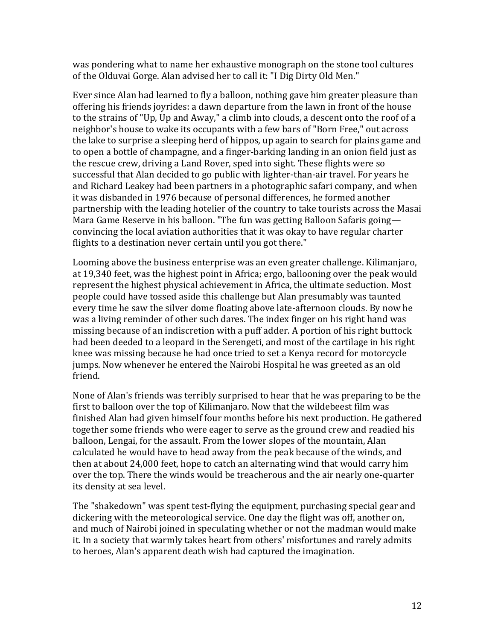was pondering what to name her exhaustive monograph on the stone tool cultures of the Olduvai Gorge. Alan advised her to call it: "I Dig Dirty Old Men."

Ever since Alan had learned to fly a balloon, nothing gave him greater pleasure than offering his friends joyrides: a dawn departure from the lawn in front of the house to the strains of "Up, Up and Away," a climb into clouds, a descent onto the roof of a neighbor's house to wake its occupants with a few bars of "Born Free," out across the lake to surprise a sleeping herd of hippos, up again to search for plains game and to open a bottle of champagne, and a finger-barking landing in an onion field just as the rescue crew, driving a Land Rover, sped into sight. These flights were so successful that Alan decided to go public with lighter-than-air travel. For years he and Richard Leakey had been partners in a photographic safari company, and when it was disbanded in 1976 because of personal differences, he formed another partnership with the leading hotelier of the country to take tourists across the Masai Mara Game Reserve in his balloon. "The fun was getting Balloon Safaris going convincing the local aviation authorities that it was okay to have regular charter flights to a destination never certain until you got there."

Looming above the business enterprise was an even greater challenge. Kilimanjaro, at 19,340 feet, was the highest point in Africa; ergo, ballooning over the peak would represent the highest physical achievement in Africa, the ultimate seduction. Most people could have tossed aside this challenge but Alan presumably was taunted every time he saw the silver dome floating above late-afternoon clouds. By now he was a living reminder of other such dares. The index finger on his right hand was missing because of an indiscretion with a puff adder. A portion of his right buttock had been deeded to a leopard in the Serengeti, and most of the cartilage in his right knee was missing because he had once tried to set a Kenya record for motorcycle jumps. Now whenever he entered the Nairobi Hospital he was greeted as an old friend.

None of Alan's friends was terribly surprised to hear that he was preparing to be the first to balloon over the top of Kilimanjaro. Now that the wildebeest film was finished Alan had given himself four months before his next production. He gathered together some friends who were eager to serve as the ground crew and readied his balloon, Lengai, for the assault. From the lower slopes of the mountain, Alan calculated he would have to head away from the peak because of the winds, and then at about 24,000 feet, hope to catch an alternating wind that would carry him over the top. There the winds would be treacherous and the air nearly one-quarter its density at sea level.

The "shakedown" was spent test-flying the equipment, purchasing special gear and dickering with the meteorological service. One day the flight was off, another on, and much of Nairobi joined in speculating whether or not the madman would make it. In a society that warmly takes heart from others' misfortunes and rarely admits to heroes, Alan's apparent death wish had captured the imagination.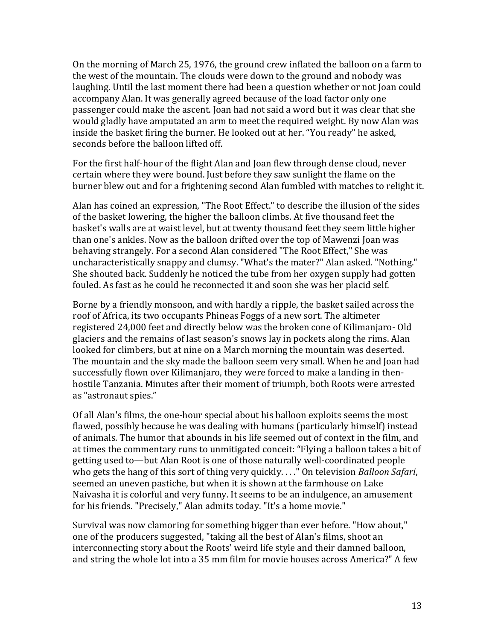On the morning of March 25, 1976, the ground crew inflated the balloon on a farm to the west of the mountain. The clouds were down to the ground and nobody was laughing. Until the last moment there had been a question whether or not Joan could accompany Alan. It was generally agreed because of the load factor only one passenger could make the ascent. Joan had not said a word but it was clear that she would gladly have amputated an arm to meet the required weight. By now Alan was inside the basket firing the burner. He looked out at her. "You ready" he asked, seconds before the balloon lifted off.

For the first half-hour of the flight Alan and Joan flew through dense cloud, never certain where they were bound. Just before they saw sunlight the flame on the burner blew out and for a frightening second Alan fumbled with matches to relight it.

Alan has coined an expression, "The Root Effect." to describe the illusion of the sides of the basket lowering, the higher the balloon climbs. At five thousand feet the basket's walls are at waist level, but at twenty thousand feet they seem little higher than one's ankles. Now as the balloon drifted over the top of Mawenzi Joan was behaving strangely. For a second Alan considered "The Root Effect," She was uncharacteristically snappy and clumsy. "What's the mater?" Alan asked. "Nothing." She shouted back. Suddenly he noticed the tube from her oxygen supply had gotten fouled. As fast as he could he reconnected it and soon she was her placid self.

Borne by a friendly monsoon, and with hardly a ripple, the basket sailed across the roof of Africa, its two occupants Phineas Foggs of a new sort. The altimeter registered 24,000 feet and directly below was the broken cone of Kilimanjaro- Old glaciers and the remains of last season's snows lay in pockets along the rims. Alan looked for climbers, but at nine on a March morning the mountain was deserted. The mountain and the sky made the balloon seem very small. When he and Joan had successfully flown over Kilimanjaro, they were forced to make a landing in thenhostile Tanzania. Minutes after their moment of triumph, both Roots were arrested as "astronaut spies."

Of all Alan's films, the one-hour special about his balloon exploits seems the most flawed, possibly because he was dealing with humans (particularly himself) instead of animals. The humor that abounds in his life seemed out of context in the film, and at times the commentary runs to unmitigated conceit: "Flying a balloon takes a bit of getting used to—but Alan Root is one of those naturally well-coordinated people who gets the hang of this sort of thing very quickly...." On television *Balloon Safari*, seemed an uneven pastiche, but when it is shown at the farmhouse on Lake Naivasha it is colorful and very funny. It seems to be an indulgence, an amusement for his friends. "Precisely," Alan admits today. "It's a home movie."

Survival was now clamoring for something bigger than ever before. "How about," one of the producers suggested, "taking all the best of Alan's films, shoot an interconnecting story about the Roots' weird life style and their damned balloon, and string the whole lot into a 35 mm film for movie houses across America?" A few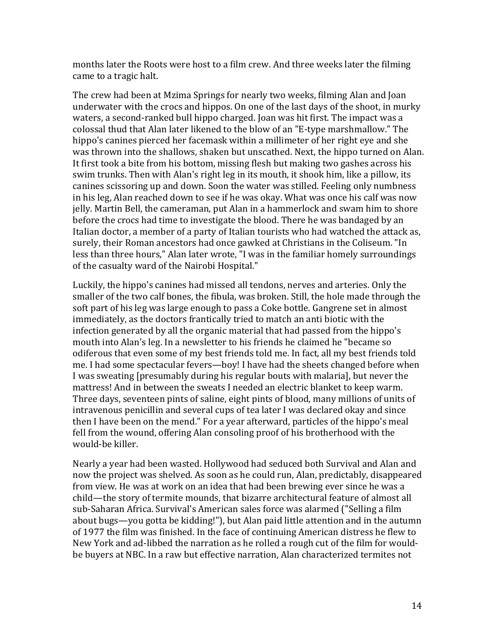months later the Roots were host to a film crew. And three weeks later the filming came to a tragic halt.

The crew had been at Mzima Springs for nearly two weeks, filming Alan and Joan underwater with the crocs and hippos. On one of the last days of the shoot, in murky waters, a second-ranked bull hippo charged. Joan was hit first. The impact was a colossal thud that Alan later likened to the blow of an "E-type marshmallow." The hippo's canines pierced her facemask within a millimeter of her right eye and she was thrown into the shallows, shaken but unscathed. Next, the hippo turned on Alan. It first took a bite from his bottom, missing flesh but making two gashes across his swim trunks. Then with Alan's right leg in its mouth, it shook him, like a pillow, its canines scissoring up and down. Soon the water was stilled. Feeling only numbness in his leg, Alan reached down to see if he was okay. What was once his calf was now jelly. Martin Bell, the cameraman, put Alan in a hammerlock and swam him to shore before the crocs had time to investigate the blood. There he was bandaged by an Italian doctor, a member of a party of Italian tourists who had watched the attack as, surely, their Roman ancestors had once gawked at Christians in the Coliseum. "In less than three hours," Alan later wrote, "I was in the familiar homely surroundings of the casualty ward of the Nairobi Hospital."

Luckily, the hippo's canines had missed all tendons, nerves and arteries. Only the smaller of the two calf bones, the fibula, was broken. Still, the hole made through the soft part of his leg was large enough to pass a Coke bottle. Gangrene set in almost immediately, as the doctors frantically tried to match an anti biotic with the infection generated by all the organic material that had passed from the hippo's mouth into Alan's leg. In a newsletter to his friends he claimed he "became so odiferous that even some of my best friends told me. In fact, all my best friends told me. I had some spectacular fevers—boy! I have had the sheets changed before when I was sweating [presumably during his regular bouts with malaria], but never the mattress! And in between the sweats I needed an electric blanket to keep warm. Three days, seventeen pints of saline, eight pints of blood, many millions of units of intravenous penicillin and several cups of tea later I was declared okay and since then I have been on the mend." For a year afterward, particles of the hippo's meal fell from the wound, offering Alan consoling proof of his brotherhood with the would-be killer.

Nearly a year had been wasted. Hollywood had seduced both Survival and Alan and now the project was shelved. As soon as he could run, Alan, predictably, disappeared from view. He was at work on an idea that had been brewing ever since he was a child—the story of termite mounds, that bizarre architectural feature of almost all sub-Saharan Africa. Survival's American sales force was alarmed ("Selling a film about bugs—you gotta be kidding!"), but Alan paid little attention and in the autumn of 1977 the film was finished. In the face of continuing American distress he flew to New York and ad-libbed the narration as he rolled a rough cut of the film for wouldbe buyers at NBC. In a raw but effective narration, Alan characterized termites not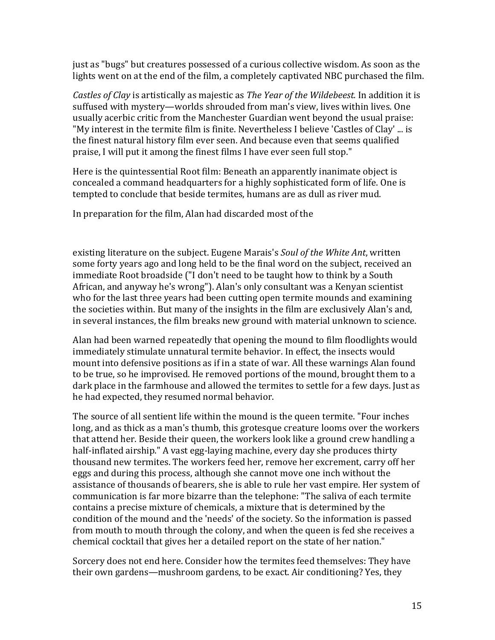just as "bugs" but creatures possessed of a curious collective wisdom. As soon as the lights went on at the end of the film, a completely captivated NBC purchased the film.

*Castles of Clay* is artistically as majestic as *The Year of the Wildebeest*. In addition it is suffused with mystery—worlds shrouded from man's view, lives within lives. One usually acerbic critic from the Manchester Guardian went beyond the usual praise: "My interest in the termite film is finite. Nevertheless I believe 'Castles of Clay' ... is the finest natural history film ever seen. And because even that seems qualified praise, I will put it among the finest films I have ever seen full stop."

Here is the quintessential Root film: Beneath an apparently inanimate object is concealed a command headquarters for a highly sophisticated form of life. One is tempted to conclude that beside termites, humans are as dull as river mud.

In preparation for the film, Alan had discarded most of the

existing literature on the subject. Eugene Marais's *Soul of the White Ant*, written some forty years ago and long held to be the final word on the subject, received an immediate Root broadside ("I don't need to be taught how to think by a South African, and anyway he's wrong"). Alan's only consultant was a Kenyan scientist who for the last three years had been cutting open termite mounds and examining the societies within. But many of the insights in the film are exclusively Alan's and, in several instances, the film breaks new ground with material unknown to science.

Alan had been warned repeatedly that opening the mound to film floodlights would immediately stimulate unnatural termite behavior. In effect, the insects would mount into defensive positions as if in a state of war. All these warnings Alan found to be true, so he improvised. He removed portions of the mound, brought them to a dark place in the farmhouse and allowed the termites to settle for a few days. Just as he had expected, they resumed normal behavior.

The source of all sentient life within the mound is the queen termite. "Four inches long, and as thick as a man's thumb, this grotesque creature looms over the workers that attend her. Beside their queen, the workers look like a ground crew handling a half-inflated airship." A vast egg-laying machine, every day she produces thirty thousand new termites. The workers feed her, remove her excrement, carry off her eggs and during this process, although she cannot move one inch without the assistance of thousands of bearers, she is able to rule her vast empire. Her system of communication is far more bizarre than the telephone: "The saliva of each termite contains a precise mixture of chemicals, a mixture that is determined by the condition of the mound and the 'needs' of the society. So the information is passed from mouth to mouth through the colony, and when the queen is fed she receives a chemical cocktail that gives her a detailed report on the state of her nation."

Sorcery does not end here. Consider how the termites feed themselves: They have their own gardens—mushroom gardens, to be exact. Air conditioning? Yes, they